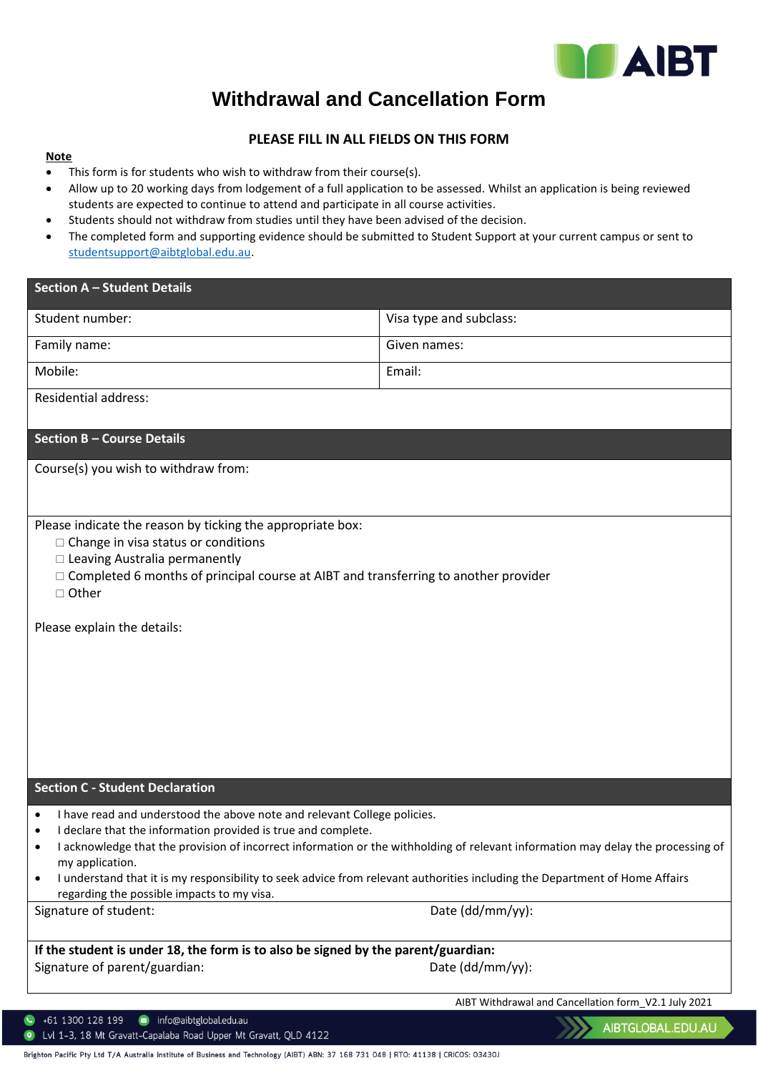

## **Withdrawal and Cancellation Form**

## **PLEASE FILL IN ALL FIELDS ON THIS FORM**

## **Note**

- This form is for students who wish to withdraw from their course(s).
- Allow up to 20 working days from lodgement of a full application to be assessed. Whilst an application is being reviewed students are expected to continue to attend and participate in all course activities.
- Students should not withdraw from studies until they have been advised of the decision.
- The completed form and supporting evidence should be submitted to Student Support at your current campus or sent to [studentsupport@aibtglobal.edu.au.](mailto:studentsupport@aibtglobal.edu.au)

| <b>Section A - Student Details</b>                                                                                                                                                                                                                                                                                                                          |                                                                                                                                  |  |
|-------------------------------------------------------------------------------------------------------------------------------------------------------------------------------------------------------------------------------------------------------------------------------------------------------------------------------------------------------------|----------------------------------------------------------------------------------------------------------------------------------|--|
| Student number:                                                                                                                                                                                                                                                                                                                                             | Visa type and subclass:                                                                                                          |  |
| Family name:                                                                                                                                                                                                                                                                                                                                                | Given names:                                                                                                                     |  |
| Mobile:                                                                                                                                                                                                                                                                                                                                                     | Email:                                                                                                                           |  |
| <b>Residential address:</b>                                                                                                                                                                                                                                                                                                                                 |                                                                                                                                  |  |
| <b>Section B - Course Details</b>                                                                                                                                                                                                                                                                                                                           |                                                                                                                                  |  |
| Course(s) you wish to withdraw from:                                                                                                                                                                                                                                                                                                                        |                                                                                                                                  |  |
| Please indicate the reason by ticking the appropriate box:<br>$\Box$ Change in visa status or conditions<br>□ Leaving Australia permanently<br>$\Box$ Completed 6 months of principal course at AIBT and transferring to another provider<br>□ Other                                                                                                        |                                                                                                                                  |  |
| Please explain the details:                                                                                                                                                                                                                                                                                                                                 |                                                                                                                                  |  |
| <b>Section C - Student Declaration</b>                                                                                                                                                                                                                                                                                                                      |                                                                                                                                  |  |
| I have read and understood the above note and relevant College policies.<br>I declare that the information provided is true and complete.<br>٠<br>my application.<br>I understand that it is my responsibility to seek advice from relevant authorities including the Department of Home Affairs<br>$\bullet$<br>regarding the possible impacts to my visa. | I acknowledge that the provision of incorrect information or the withholding of relevant information may delay the processing of |  |
| Signature of student:                                                                                                                                                                                                                                                                                                                                       | Date (dd/mm/yy):                                                                                                                 |  |
| If the student is under 18, the form is to also be signed by the parent/guardian:                                                                                                                                                                                                                                                                           |                                                                                                                                  |  |
| Signature of parent/guardian:                                                                                                                                                                                                                                                                                                                               | Date (dd/mm/yy):                                                                                                                 |  |
|                                                                                                                                                                                                                                                                                                                                                             | AIBT Withdrawal and Cancellation form_V2.1 July 2021                                                                             |  |
| info@aibtglobal.edu.au<br>+61 1300 128 199<br>$\bullet$<br>Lvl 1-3, 18 Mt Gravatt-Capalaba Road Upper Mt Gravatt, QLD 4122<br>$\bullet$                                                                                                                                                                                                                     | AIBTGLOBAL.EDU.AU                                                                                                                |  |